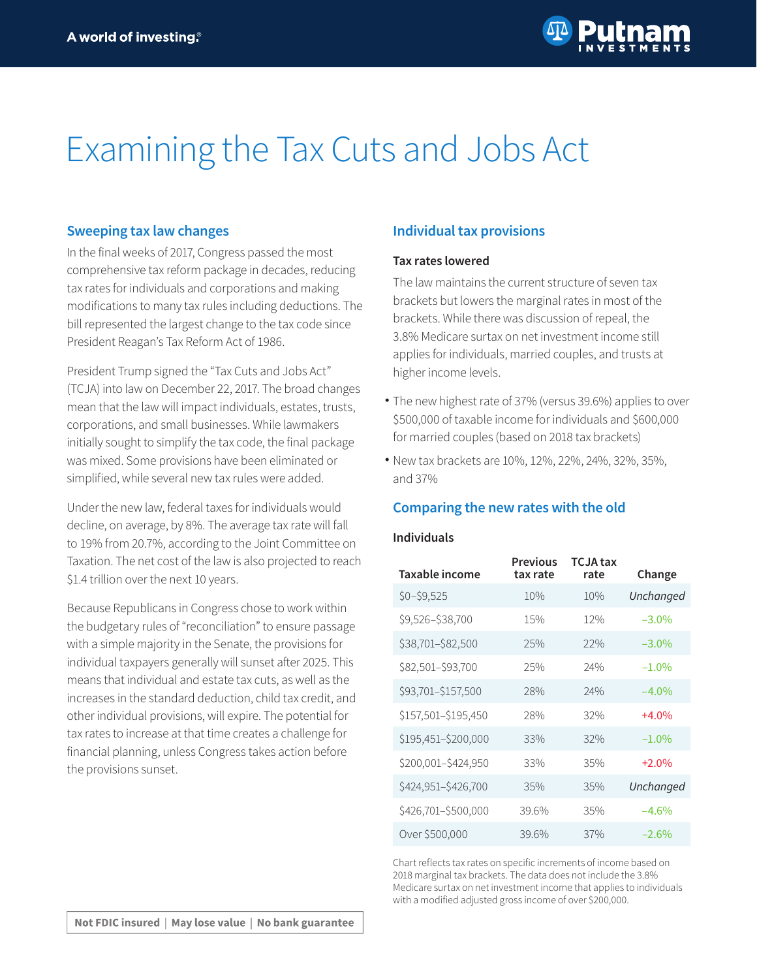

# Examining the Tax Cuts and Jobs Act

## **Sweeping tax law changes**

In the final weeks of 2017, Congress passed the most comprehensive tax reform package in decades, reducing tax rates for individuals and corporations and making modifications to many tax rules including deductions. The bill represented the largest change to the tax code since President Reagan's Tax Reform Act of 1986.

President Trump signed the "Tax Cuts and Jobs Act" (TCJA) into law on December 22, 2017. The broad changes mean that the law will impact individuals, estates, trusts, corporations, and small businesses. While lawmakers initially sought to simplify the tax code, the final package was mixed. Some provisions have been eliminated or simplified, while several new tax rules were added.

Under the new law, federal taxes for individuals would decline, on average, by 8%. The average tax rate will fall to 19% from 20.7%, according to the Joint Committee on Taxation. The net cost of the law is also projected to reach \$1.4 trillion over the next 10 years.

Because Republicans in Congress chose to work within the budgetary rules of "reconciliation" to ensure passage with a simple majority in the Senate, the provisions for individual taxpayers generally will sunset after 2025. This means that individual and estate tax cuts, as well as the increases in the standard deduction, child tax credit, and other individual provisions, will expire. The potential for tax rates to increase at that time creates a challenge for financial planning, unless Congress takes action before the provisions sunset.

# **Individual tax provisions**

#### **Tax rates lowered**

The law maintains the current structure of seven tax brackets but lowers the marginal rates in most of the brackets. While there was discussion of repeal, the 3.8% Medicare surtax on net investment income still applies for individuals, married couples, and trusts at higher income levels.

- The new highest rate of 37% (versus 39.6%) applies to over \$500,000 of taxable income for individuals and \$600,000 for married couples (based on 2018 tax brackets)
- New tax brackets are 10%, 12%, 22%, 24%, 32%, 35%, and 37%

# **Comparing the new rates with the old**

#### **Individuals**

| Taxable income      | Previous<br>tax rate | TCJA tax<br>rate | Change    |
|---------------------|----------------------|------------------|-----------|
| $$0 - $9,525$       | 10%                  | 10%              | Unchanged |
| \$9,526-\$38,700    | 15%                  | 12%              | $-3.0\%$  |
| \$38,701-\$82,500   | 25%                  | 22%              | $-3.0\%$  |
| \$82,501-\$93,700   | 25%                  | 24%              | $-1.0\%$  |
| \$93,701-\$157,500  | 28%                  | 24%              | $-4.0%$   |
| \$157,501-\$195,450 | 28%                  | 32%              | $+4.0%$   |
| \$195,451-\$200,000 | 33%                  | 32%              | $-1.0\%$  |
| \$200,001-\$424,950 | 33%                  | 35%              | $+2.0%$   |
| \$424,951-\$426,700 | 35%                  | 35%              | Unchanged |
| \$426,701-\$500,000 | 39.6%                | 35%              | $-4.6%$   |
| Over \$500,000      | 39.6%                | 37%              | $-2.6\%$  |

Chart reflects tax rates on specific increments of income based on 2018 marginal tax brackets. The data does not include the 3.8% Medicare surtax on net investment income that applies to individuals with a modified adjusted gross income of over \$200,000.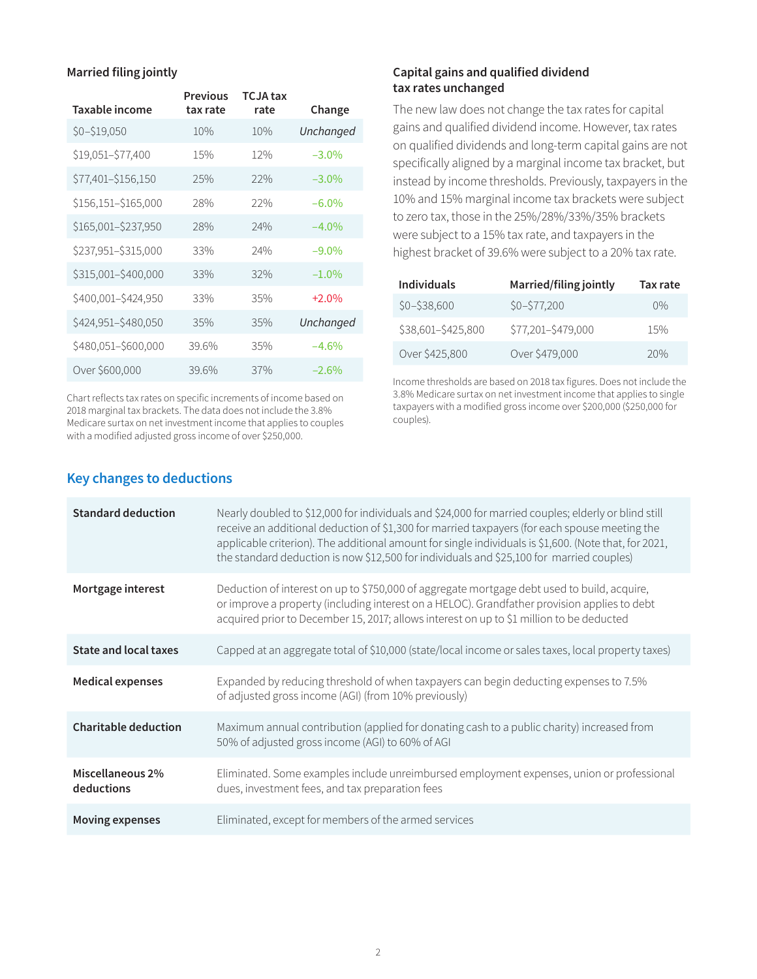#### **Married filing jointly**

| Taxable income      | Previous<br>tax rate | TCJA tax<br>rate | Change    |
|---------------------|----------------------|------------------|-----------|
| $$0 - $19,050$      | 10%                  | 10%              | Unchanged |
| \$19,051-\$77,400   | 15%                  | 12%              | $-3.0\%$  |
| \$77,401-\$156,150  | 25%                  | 22%              | $-3.0\%$  |
| \$156,151-\$165,000 | 28%                  | 22%              | $-6.0\%$  |
| \$165,001-\$237,950 | 28%                  | 74%              | $-4.0\%$  |
| \$237,951-\$315,000 | 33%                  | 24%              | $-9.0\%$  |
| \$315,001-\$400,000 | 33%                  | 32%              | $-1.0\%$  |
| \$400,001-\$424,950 | 33%                  | 35%              | $+2.0%$   |
| \$424,951-\$480,050 | 35%                  | 35%              | Unchanged |
| \$480,051-\$600,000 | 39.6%                | 35%              | $-4.6%$   |
| Over \$600,000      | 39.6%                | 37%              | $-2.6%$   |

Chart reflects tax rates on specific increments of income based on 2018 marginal tax brackets. The data does not include the 3.8% Medicare surtax on net investment income that applies to couples with a modified adjusted gross income of over \$250,000.

#### **Capital gains and qualified dividend tax rates unchanged**

The new law does not change the tax rates for capital gains and qualified dividend income. However, tax rates on qualified dividends and long-term capital gains are not specifically aligned by a marginal income tax bracket, but instead by income thresholds. Previously, taxpayers in the 10% and 15% marginal income tax brackets were subject to zero tax, those in the 25%/28%/33%/35% brackets were subject to a 15% tax rate, and taxpayers in the highest bracket of 39.6% were subject to a 20% tax rate.

| <b>Individuals</b> | Married/filing jointly | Tax rate |
|--------------------|------------------------|----------|
| $$0 - $38,600$     | $$0 - $77,200$         | $0\%$    |
| \$38,601-\$425,800 | \$77,201-\$479,000     | 15%      |
| Over \$425,800     | Over \$479,000         | 20%      |

Income thresholds are based on 2018 tax figures. Does not include the 3.8% Medicare surtax on net investment income that applies to single taxpayers with a modified gross income over \$200,000 (\$250,000 for couples).

# **Key changes to deductions**

| <b>Standard deduction</b>      | Nearly doubled to \$12,000 for individuals and \$24,000 for married couples; elderly or blind still<br>receive an additional deduction of \$1,300 for married taxpayers (for each spouse meeting the<br>applicable criterion). The additional amount for single individuals is \$1,600. (Note that, for 2021,<br>the standard deduction is now \$12,500 for individuals and \$25,100 for married couples) |
|--------------------------------|-----------------------------------------------------------------------------------------------------------------------------------------------------------------------------------------------------------------------------------------------------------------------------------------------------------------------------------------------------------------------------------------------------------|
| Mortgage interest              | Deduction of interest on up to \$750,000 of aggregate mortgage debt used to build, acquire,<br>or improve a property (including interest on a HELOC). Grandfather provision applies to debt<br>acquired prior to December 15, 2017; allows interest on up to \$1 million to be deducted                                                                                                                   |
| State and local taxes          | Capped at an aggregate total of \$10,000 (state/local income or sales taxes, local property taxes)                                                                                                                                                                                                                                                                                                        |
| <b>Medical expenses</b>        | Expanded by reducing threshold of when taxpayers can begin deducting expenses to 7.5%<br>of adjusted gross income (AGI) (from 10% previously)                                                                                                                                                                                                                                                             |
| <b>Charitable deduction</b>    | Maximum annual contribution (applied for donating cash to a public charity) increased from<br>50% of adjusted gross income (AGI) to 60% of AGI                                                                                                                                                                                                                                                            |
| Miscellaneous 2%<br>deductions | Eliminated. Some examples include unreimbursed employment expenses, union or professional<br>dues, investment fees, and tax preparation fees                                                                                                                                                                                                                                                              |
| Moving expenses                | Eliminated, except for members of the armed services                                                                                                                                                                                                                                                                                                                                                      |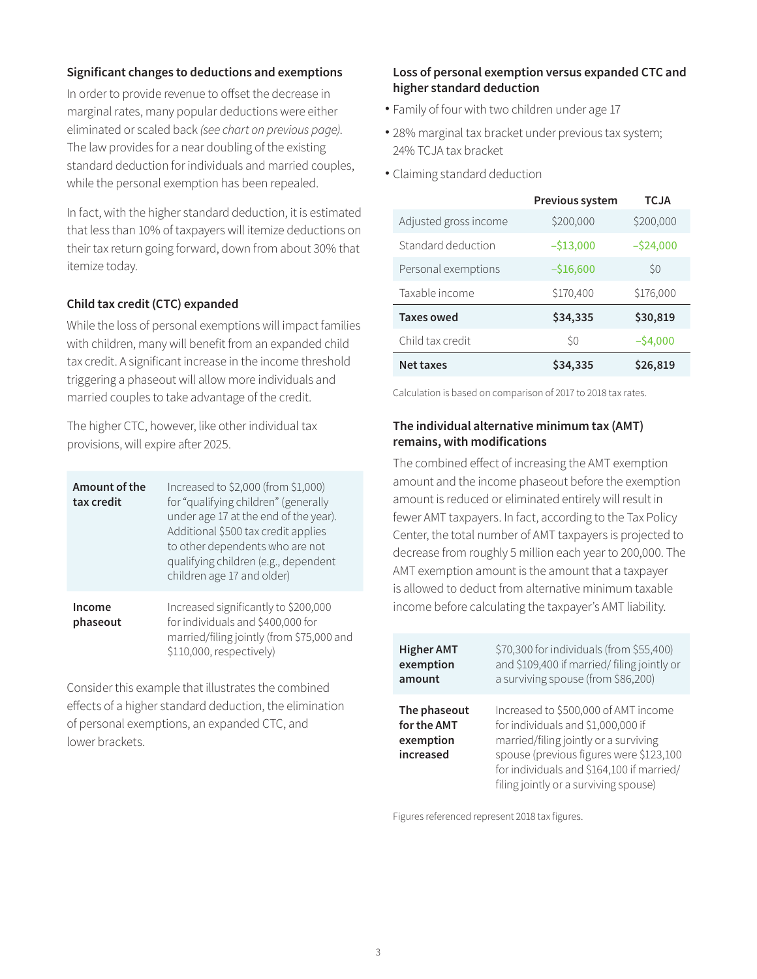## **Significant changes to deductions and exemptions**

In order to provide revenue to offset the decrease in marginal rates, many popular deductions were either eliminated or scaled back *(see chart on previous page)*. The law provides for a near doubling of the existing standard deduction for individuals and married couples, while the personal exemption has been repealed.

In fact, with the higher standard deduction, it is estimated that less than 10% of taxpayers will itemize deductions on their tax return going forward, down from about 30% that itemize today.

## **Child tax credit (CTC) expanded**

While the loss of personal exemptions will impact families with children, many will benefit from an expanded child tax credit. A significant increase in the income threshold triggering a phaseout will allow more individuals and married couples to take advantage of the credit.

The higher CTC, however, like other individual tax provisions, will expire after 2025.

| Amount of the<br>tax credit | Increased to \$2,000 (from \$1,000)<br>for "qualifying children" (generally<br>under age 17 at the end of the year).<br>Additional \$500 tax credit applies<br>to other dependents who are not<br>qualifying children (e.g., dependent<br>children age 17 and older) |
|-----------------------------|----------------------------------------------------------------------------------------------------------------------------------------------------------------------------------------------------------------------------------------------------------------------|
| Income<br>phaseout          | Increased significantly to \$200,000<br>for individuals and \$400,000 for<br>married/filing jointly (from \$75,000 and<br>\$110,000, respectively)                                                                                                                   |

Consider this example that illustrates the combined effects of a higher standard deduction, the elimination of personal exemptions, an expanded CTC, and lower brackets.

### **Loss of personal exemption versus expanded CTC and higher standard deduction**

- Family of four with two children under age 17 •
- 28% marginal tax bracket under previous tax system; 24% TCJA tax bracket
- Claiming standard deduction •

|                       | Previous system | <b>TCJA</b>  |
|-----------------------|-----------------|--------------|
| Adjusted gross income | \$200,000       | \$200,000    |
| Standard deduction    | $-$ \$13,000    | $-$ \$24,000 |
| Personal exemptions   | $-$16,600$      | \$0          |
| Taxable income        | \$170,400       | \$176,000    |
| <b>Taxes owed</b>     | \$34,335        | \$30,819     |
| Child tax credit      | Ś0              | $-54,000$    |
| Net taxes             | \$34,335        | \$26,819     |

Calculation is based on comparison of 2017 to 2018 tax rates.

## **The individual alternative minimum tax (AMT) remains, with modifications**

The combined effect of increasing the AMT exemption amount and the income phaseout before the exemption amount is reduced or eliminated entirely will result in fewer AMT taxpayers. In fact, according to the Tax Policy Center, the total number of AMT taxpayers is projected to decrease from roughly 5 million each year to 200,000. The AMT exemption amount is the amount that a taxpayer is allowed to deduct from alternative minimum taxable income before calculating the taxpayer's AMT liability.

| <b>Higher AMT</b>                                     | \$70,300 for individuals (from \$55,400)                                                                                                                                                                                                             |
|-------------------------------------------------------|------------------------------------------------------------------------------------------------------------------------------------------------------------------------------------------------------------------------------------------------------|
| exemption                                             | and \$109,400 if married/ filing jointly or                                                                                                                                                                                                          |
| amount                                                | a surviving spouse (from \$86,200)                                                                                                                                                                                                                   |
| The phaseout<br>for the AMT<br>exemption<br>increased | Increased to \$500,000 of AMT income<br>for individuals and \$1,000,000 if<br>married/filing jointly or a surviving<br>spouse (previous figures were \$123,100<br>for individuals and \$164,100 if married/<br>filing jointly or a surviving spouse) |

Figures referenced represent 2018 tax figures.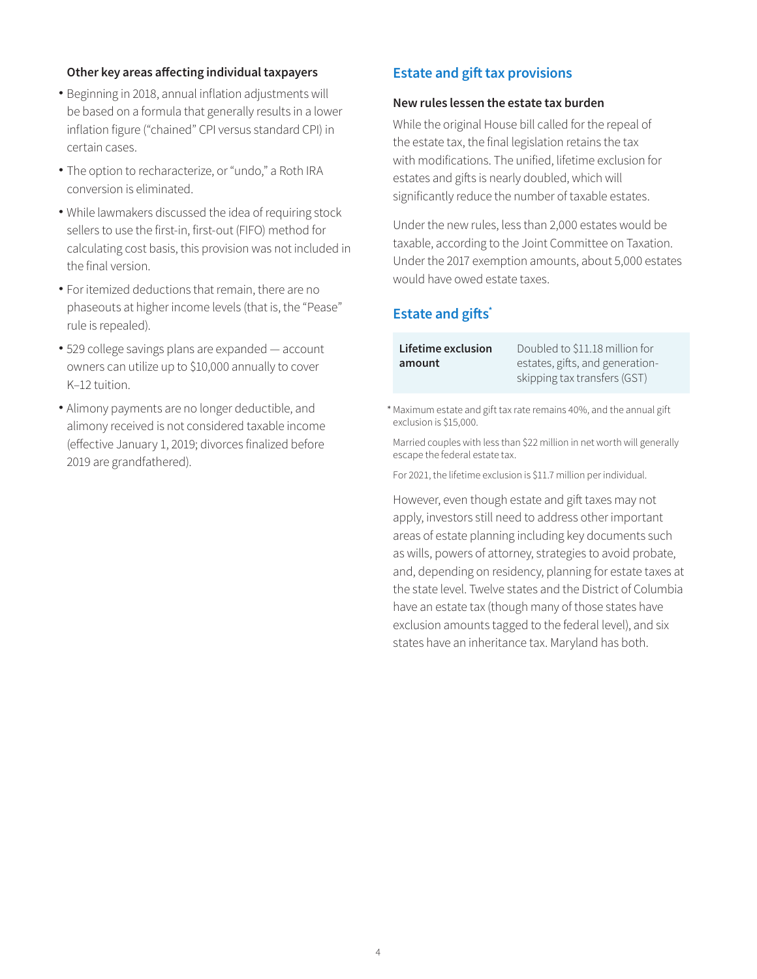### **Other key areas affecting individual taxpayers**

- Beginning in 2018, annual inflation adjustments will be based on a formula that generally results in a lower inflation figure ("chained" CPI versus standard CPI) in certain cases.
- The option to recharacterize, or "undo," a Roth IRA conversion is eliminated.
- While lawmakers discussed the idea of requiring stock sellers to use the first-in, first-out (FIFO) method for calculating cost basis, this provision was not included in the final version.
- For itemized deductions that remain, there are no phaseouts at higher income levels (that is, the "Pease" rule is repealed).
- 529 college savings plans are expanded account owners can utilize up to \$10,000 annually to cover K–12 tuition.
- Alimony payments are no longer deductible, and alimony received is not considered taxable income (effective January 1, 2019; divorces finalized before 2019 are grandfathered).

## **Estate and gift tax provisions**

#### **New rules lessen the estate tax burden**

While the original House bill called for the repeal of the estate tax, the final legislation retains the tax with modifications. The unified, lifetime exclusion for estates and gifts is nearly doubled, which will significantly reduce the number of taxable estates.

Under the new rules, less than 2,000 estates would be taxable, according to the Joint Committee on Taxation. Under the 2017 exemption amounts, about 5,000 estates would have owed estate taxes.

# **Estate and gifts\***

| Lifetime exclusion | Doubled to \$11.18 million for  |
|--------------------|---------------------------------|
| amount             | estates, gifts, and generation- |
|                    | skipping tax transfers (GST)    |

Maximum estate and gift tax rate remains 40%, and the annual gift 1 exclusion is \$15,000.

Married couples with less than \$22 million in net worth will generally escape the federal estate tax.

For 2021, the lifetime exclusion is \$11.7 million per individual.

However, even though estate and gift taxes may not apply, investors still need to address other important areas of estate planning including key documents such as wills, powers of attorney, strategies to avoid probate, and, depending on residency, planning for estate taxes at the state level. Twelve states and the District of Columbia have an estate tax (though many of those states have exclusion amounts tagged to the federal level), and six states have an inheritance tax. Maryland has both.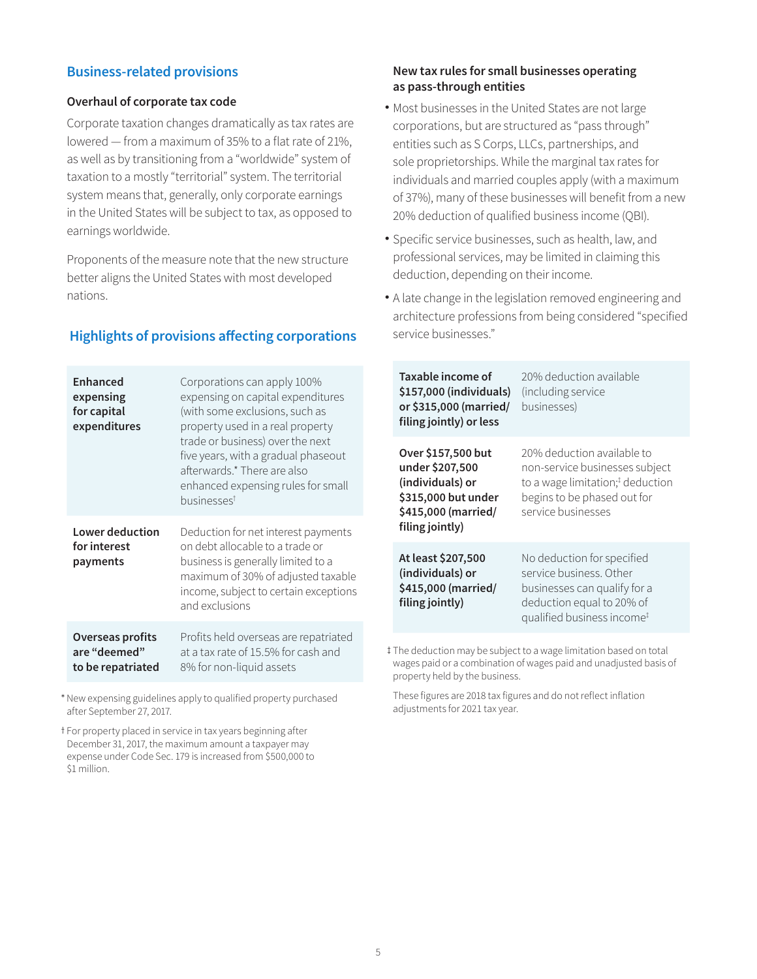# **Business-related provisions**

### **Overhaul of corporate tax code**

Corporate taxation changes dramatically as tax rates are lowered — from a maximum of 35% to a flat rate of 21%, as well as by transitioning from a "worldwide" system of taxation to a mostly "territorial" system. The territorial system means that, generally, only corporate earnings in the United States will be subject to tax, as opposed to earnings worldwide.

Proponents of the measure note that the new structure better aligns the United States with most developed nations.

# **Highlights of provisions affecting corporations**

| Enhanced<br>expensing<br>for capital<br>expenditures  | Corporations can apply 100%<br>expensing on capital expenditures<br>(with some exclusions, such as<br>property used in a real property<br>trade or business) over the next<br>five years, with a gradual phaseout<br>afterwards.* There are also<br>enhanced expensing rules for small<br>businesses <sup>t</sup> |
|-------------------------------------------------------|-------------------------------------------------------------------------------------------------------------------------------------------------------------------------------------------------------------------------------------------------------------------------------------------------------------------|
| <b>Lower deduction</b><br>for interest<br>payments    | Deduction for net interest payments<br>on debt allocable to a trade or<br>business is generally limited to a<br>maximum of 30% of adjusted taxable<br>income, subject to certain exceptions<br>and exclusions                                                                                                     |
| Overseas profits<br>are "deemed"<br>to be repatriated | Profits held overseas are repatriated<br>at a tax rate of 15.5% for cash and<br>8% for non-liquid assets                                                                                                                                                                                                          |

New expensing guidelines apply to qualified property purchased 1 after September 27, 2017.

For property placed in service in tax years beginning after 2 December 31, 2017, the maximum amount a taxpayer may expense under Code Sec. 179 is increased from \$500,000 to \$1 million.

## **New tax rules for small businesses operating as pass-through entities**

- Most businesses in the United States are not large corporations, but are structured as "pass through" entities such as S Corps, LLCs, partnerships, and sole proprietorships. While the marginal tax rates for individuals and married couples apply (with a maximum of 37%), many of these businesses will benefit from a new 20% deduction of qualified business income (QBI).
- Specific service businesses, such as health, law, and professional services, may be limited in claiming this deduction, depending on their income.
- A late change in the legislation removed engineering and architecture professions from being considered "specified service businesses."

| Taxable income of<br>\$157,000 (individuals)<br>or \$315,000 (married/<br>filing jointly) or less                          | 20% deduction available<br>(including service<br>businesses)                                                                                                      |
|----------------------------------------------------------------------------------------------------------------------------|-------------------------------------------------------------------------------------------------------------------------------------------------------------------|
| Over \$157,500 but<br>under \$207,500<br>(individuals) or<br>\$315,000 but under<br>\$415,000 (married/<br>filing jointly) | 20% deduction available to<br>non-service businesses subject<br>to a wage limitation; <sup>†</sup> deduction<br>begins to be phased out for<br>service businesses |
| At least \$207,500<br>(individuals) or<br>\$415,000 (married/<br>filing jointly)                                           | No deduction for specified<br>service business. Other<br>businesses can qualify for a<br>deduction equal to 20% of<br>qualified business income <sup>t</sup>      |

The deduction may be subject to a wage limitation based on total 3 wages paid or a combination of wages paid and unadjusted basis of property held by the business.

These figures are 2018 tax figures and do not reflect inflation adjustments for 2021 tax year.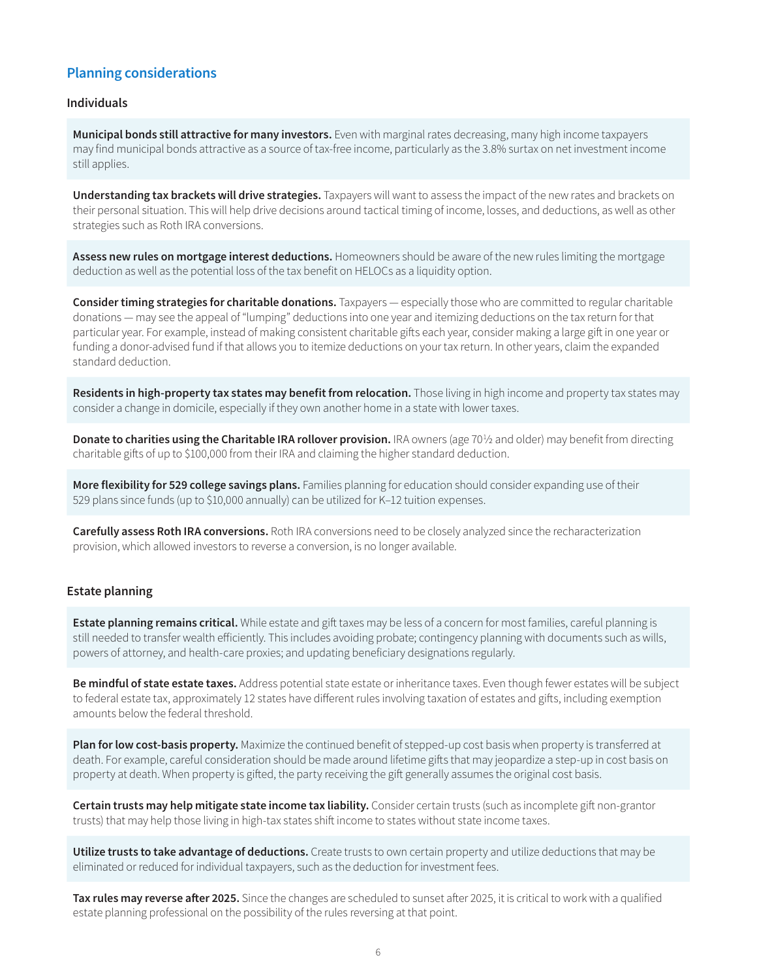# **Planning considerations**

#### **Individuals**

**Municipal bonds still attractive for many investors.** Even with marginal rates decreasing, many high income taxpayers may find municipal bonds attractive as a source of tax-free income, particularly as the 3.8% surtax on net investment income still applies.

**Understanding tax brackets will drive strategies.** Taxpayers will want to assess the impact of the new rates and brackets on their personal situation. This will help drive decisions around tactical timing of income, losses, and deductions, as well as other strategies such as Roth IRA conversions.

**Assess new rules on mortgage interest deductions.** Homeowners should be aware of the new rules limiting the mortgage deduction as well as the potential loss of the tax benefit on HELOCs as a liquidity option.

**Consider timing strategies for charitable donations.** Taxpayers — especially those who are committed to regular charitable donations — may see the appeal of "lumping" deductions into one year and itemizing deductions on the tax return for that particular year. For example, instead of making consistent charitable gifts each year, consider making a large gift in one year or funding a donor-advised fund if that allows you to itemize deductions on your tax return. In other years, claim the expanded standard deduction.

Residents in high-property tax states may benefit from relocation. Those living in high income and property tax states may consider a change in domicile, especially if they own another home in a state with lower taxes.

**Donate to charities using the Charitable IRA rollover provision.** IRA owners (age 70½ and older) may benefit from directing charitable gifts of up to \$100,000 from their IRA and claiming the higher standard deduction.

**More flexibility for 529 college savings plans.** Families planning for education should consider expanding use of their 529 plans since funds (up to \$10,000 annually) can be utilized for K–12 tuition expenses.

**Carefully assess Roth IRA conversions.** Roth IRA conversions need to be closely analyzed since the recharacterization provision, which allowed investors to reverse a conversion, is no longer available.

#### **Estate planning**

**Estate planning remains critical.** While estate and gift taxes may be less of a concern for most families, careful planning is still needed to transfer wealth efficiently. This includes avoiding probate; contingency planning with documents such as wills, powers of attorney, and health-care proxies; and updating beneficiary designations regularly.

**Be mindful of state estate taxes.** Address potential state estate or inheritance taxes. Even though fewer estates will be subject to federal estate tax, approximately 12 states have different rules involving taxation of estates and gifts, including exemption amounts below the federal threshold.

**Plan for low cost-basis property.** Maximize the continued benefit of stepped-up cost basis when property is transferred at death. For example, careful consideration should be made around lifetime gifts that may jeopardize a step-up in cost basis on property at death. When property is gifted, the party receiving the gift generally assumes the original cost basis.

**Certain trusts may help mitigate state income tax liability.** Consider certain trusts (such as incomplete gift non-grantor trusts) that may help those living in high-tax states shift income to states without state income taxes.

**Utilize trusts to take advantage of deductions.** Create trusts to own certain property and utilize deductions that may be eliminated or reduced for individual taxpayers, such as the deduction for investment fees.

**Tax rules may reverse after 2025.** Since the changes are scheduled to sunset after 2025, it is critical to work with a qualified estate planning professional on the possibility of the rules reversing at that point.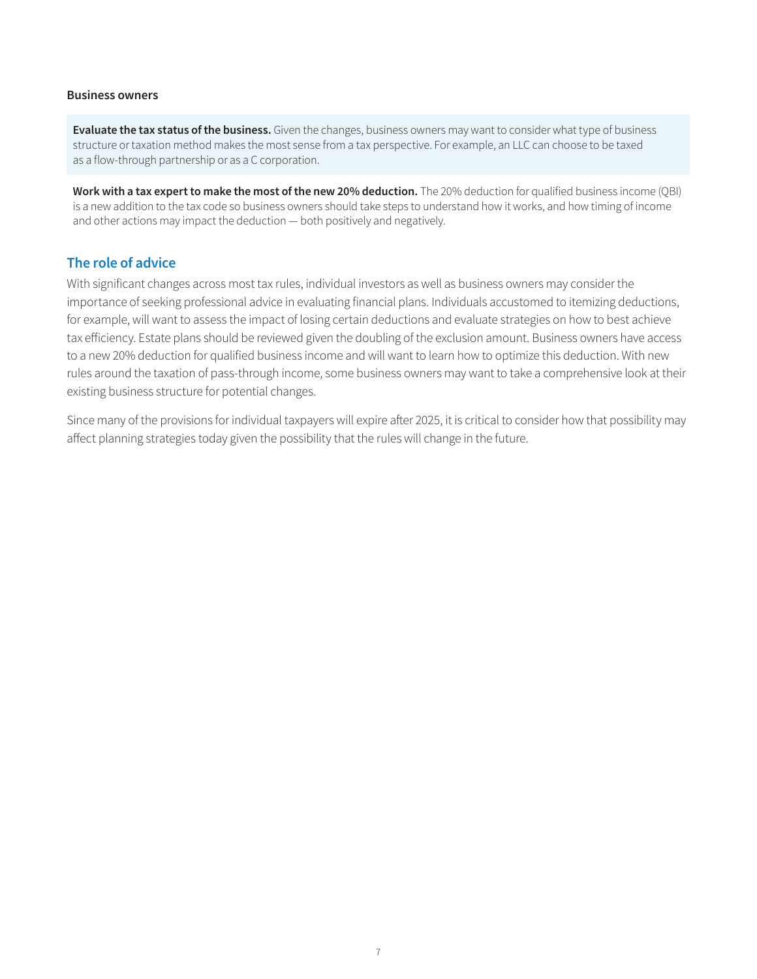#### **Business owners**

**Evaluate the tax status of the business.** Given the changes, business owners may want to consider what type of business structure or taxation method makes the most sense from a tax perspective. For example, an LLC can choose to be taxed as a flow-through partnership or as a C corporation.

**Work with a tax expert to make the most of the new 20% deduction.** The 20% deduction for qualified business income (QBI) is a new addition to the tax code so business owners should take steps to understand how it works, and how timing of income and other actions may impact the deduction — both positively and negatively.

# **The role of advice**

With significant changes across most tax rules, individual investors as well as business owners may consider the importance of seeking professional advice in evaluating financial plans. Individuals accustomed to itemizing deductions, for example, will want to assess the impact of losing certain deductions and evaluate strategies on how to best achieve tax efficiency. Estate plans should be reviewed given the doubling of the exclusion amount. Business owners have access to a new 20% deduction for qualified business income and will want to learn how to optimize this deduction. With new rules around the taxation of pass-through income, some business owners may want to take a comprehensive look at their existing business structure for potential changes.

Since many of the provisions for individual taxpayers will expire after 2025, it is critical to consider how that possibility may affect planning strategies today given the possibility that the rules will change in the future.